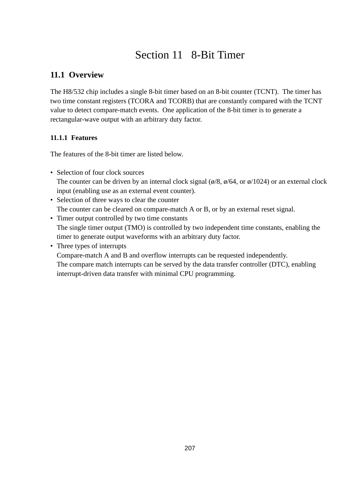# Section 11 8-Bit Timer

# **11.1 Overview**

The H8/532 chip includes a single 8-bit timer based on an 8-bit counter (TCNT). The timer has two time constant registers (TCORA and TCORB) that are constantly compared with the TCNT value to detect compare-match events. One application of the 8-bit timer is to generate a rectangular-wave output with an arbitrary duty factor.

## **11.1.1 Features**

The features of the 8-bit timer are listed below.

• Selection of four clock sources

The counter can be driven by an internal clock signal ( $\phi$ /8,  $\phi$ /64, or  $\phi$ /1024) or an external clock input (enabling use as an external event counter).

- Selection of three ways to clear the counter The counter can be cleared on compare-match A or B, or by an external reset signal.
- Timer output controlled by two time constants The single timer output (TMO) is controlled by two independent time constants, enabling the timer to generate output waveforms with an arbitrary duty factor.
- Three types of interrupts

Compare-match A and B and overflow interrupts can be requested independently. The compare match interrupts can be served by the data transfer controller (DTC), enabling interrupt-driven data transfer with minimal CPU programming.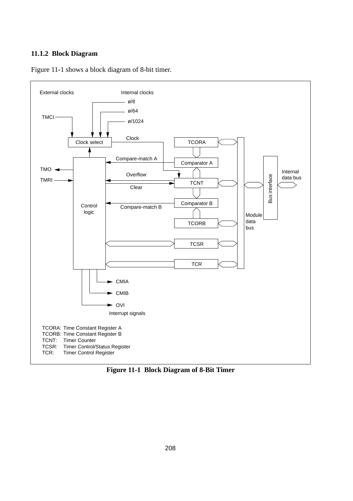#### **11.1.2 Block Diagram**



Figure 11-1 shows a block diagram of 8-bit timer.

**Figure 11-1 Block Diagram of 8-Bit Timer**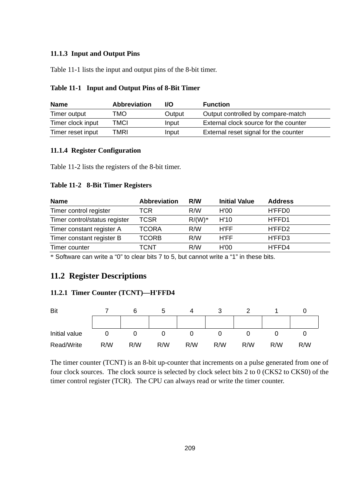## **11.1.3 Input and Output Pins**

Table 11-1 lists the input and output pins of the 8-bit timer.

| <b>Name</b>       | <b>Abbreviation</b> | I/O    | <b>Function</b>                       |
|-------------------|---------------------|--------|---------------------------------------|
| Timer output      | TMO                 | Output | Output controlled by compare-match    |
| Timer clock input | TMCI                | Input  | External clock source for the counter |
| Timer reset input | TMRI                | Input  | External reset signal for the counter |

## **Table 11-1 Input and Output Pins of 8-Bit Timer**

## **11.1.4 Register Configuration**

Table 11-2 lists the registers of the 8-bit timer.

#### **Table 11-2 8-Bit Timer Registers**

| <b>Name</b>                   | <b>Abbreviation</b> | R/W      | <b>Initial Value</b> | <b>Address</b> |
|-------------------------------|---------------------|----------|----------------------|----------------|
| Timer control register        | TCR                 | R/W      | H'00                 | H'FFD0         |
| Timer control/status register | TCSR                | $R/(W)*$ | H'10                 | H'FFD1         |
| Timer constant register A     | TCORA               | R/W      | H'FF                 | H'FFD2         |
| Timer constant register B     | TCORB               | R/W      | H'FF                 | H'FFD3         |
| Timer counter                 | TCNT                | R/W      | H'00                 | H'FFD4         |

\* Software can write a "0" to clear bits 7 to 5, but cannot write a "1" in these bits.

## **11.2 Register Descriptions**

## **11.2.1 Timer Counter (TCNT)—H'FFD4**



The timer counter (TCNT) is an 8-bit up-counter that increments on a pulse generated from one of four clock sources. The clock source is selected by clock select bits 2 to 0 (CKS2 to CKS0) of the timer control register (TCR). The CPU can always read or write the timer counter.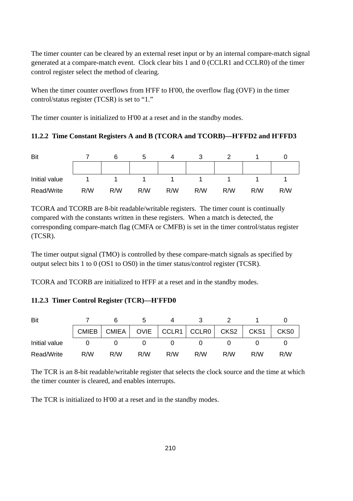The timer counter can be cleared by an external reset input or by an internal compare-match signal generated at a compare-match event. Clock clear bits 1 and 0 (CCLR1 and CCLR0) of the timer control register select the method of clearing.

When the timer counter overflows from H'FF to H'00, the overflow flag (OVF) in the timer control/status register (TCSR) is set to "1."

The timer counter is initialized to H'00 at a reset and in the standby modes.

## **11.2.2 Time Constant Registers A and B (TCORA and TCORB)—H'FFD2 and H'FFD3**

| Bit           |     |     |     |     |     |     |     |     |
|---------------|-----|-----|-----|-----|-----|-----|-----|-----|
|               |     |     |     |     |     |     |     |     |
| Initial value |     |     |     |     |     |     |     |     |
| Read/Write    | R/W | R/W | R/W | R/W | R/W | R/W | R/W | R/W |

TCORA and TCORB are 8-bit readable/writable registers. The timer count is continually compared with the constants written in these registers. When a match is detected, the corresponding compare-match flag (CMFA or CMFB) is set in the timer control/status register (TCSR).

The timer output signal (TMO) is controlled by these compare-match signals as specified by output select bits 1 to 0 (OS1 to OS0) in the timer status/control register (TCSR).

TCORA and TCORB are initialized to H'FF at a reset and in the standby modes.

## **11.2.3 Timer Control Register (TCR)—H'FFD0**

| Bit           |     |                                                    |     |     |     |     |     |                  |
|---------------|-----|----------------------------------------------------|-----|-----|-----|-----|-----|------------------|
|               |     | CMIEB   CMIEA   OVIE   CCLR1   CCLR0   CKS2   CKS1 |     |     |     |     |     | CKS <sub>0</sub> |
| Initial value |     |                                                    |     |     |     |     |     |                  |
| Read/Write    | R/W | R/W                                                | R/W | R/W | R/W | R/W | R/W | R/W              |

The TCR is an 8-bit readable/writable register that selects the clock source and the time at which the timer counter is cleared, and enables interrupts.

The TCR is initialized to H'00 at a reset and in the standby modes.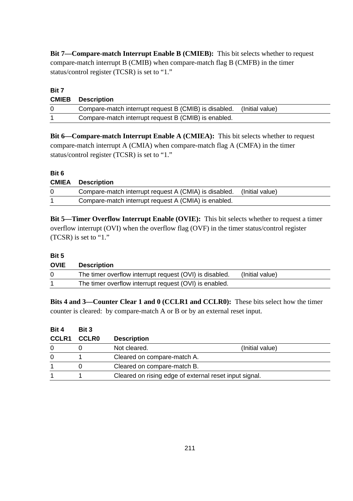**Bit 7—Compare-match Interrupt Enable B (CMIEB):** This bit selects whether to request compare-match interrupt B (CMIB) when compare-match flag B (CMFB) in the timer status/control register (TCSR) is set to "1."

# **Bit 7 CMIEB Description**

| Compare-match interrupt request B (CMIB) is disabled. (Initial value) |  |
|-----------------------------------------------------------------------|--|
| Compare-match interrupt request B (CMIB) is enabled.                  |  |

**Bit 6—Compare-match Interrupt Enable A (CMIEA):** This bit selects whether to request compare-match interrupt A (CMIA) when compare-match flag A (CMFA) in the timer status/control register (TCSR) is set to "1."

## **Bit 6**

|          | <b>CMIEA</b> Description                                              |  |
|----------|-----------------------------------------------------------------------|--|
| $\Omega$ | Compare-match interrupt request A (CMIA) is disabled. (Initial value) |  |
|          | Compare-match interrupt request A (CMIA) is enabled.                  |  |

**Bit 5—Timer Overflow Interrupt Enable (OVIE):** This bit selects whether to request a timer overflow interrupt (OVI) when the overflow flag (OVF) in the timer status/control register (TCSR) is set to "1."

## **Bit 5**

## **OVIE Description** 0 The timer overflow interrupt request (OVI) is disabled. (Initial value) 1 The timer overflow interrupt request (OVI) is enabled.

**Bits 4 and 3—Counter Clear 1 and 0 (CCLR1 and CCLR0):** These bits select how the timer counter is cleared: by compare-match A or B or by an external reset input.

| Bit 4    | Bit 3        |                                                        |                 |  |
|----------|--------------|--------------------------------------------------------|-----------------|--|
| CCLR1    | <b>CCLRO</b> | <b>Description</b>                                     |                 |  |
| 0        |              | Not cleared.                                           | (Initial value) |  |
| $\Omega$ |              | Cleared on compare-match A.                            |                 |  |
|          |              | Cleared on compare-match B.                            |                 |  |
|          |              | Cleared on rising edge of external reset input signal. |                 |  |
|          |              |                                                        |                 |  |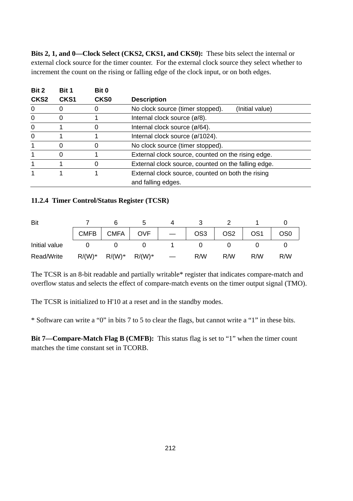**Bits 2, 1, and 0—Clock Select (CKS2, CKS1, and CKS0):** These bits select the internal or external clock source for the timer counter. For the external clock source they select whether to increment the count on the rising or falling edge of the clock input, or on both edges.

| Bit 2            | Bit 1            | Bit 0       |                                                     |
|------------------|------------------|-------------|-----------------------------------------------------|
| CKS <sub>2</sub> | CKS <sub>1</sub> | <b>CKS0</b> | <b>Description</b>                                  |
| 0                |                  |             | No clock source (timer stopped).<br>(Initial value) |
| $\Omega$         |                  |             | Internal clock source $(\emptyset/8)$ .             |
| 0                |                  | O           | Internal clock source $(\emptyset/64)$ .            |
| 0                |                  |             | Internal clock source (ø/1024).                     |
|                  | 0                | 0           | No clock source (timer stopped).                    |
|                  | 0                |             | External clock source, counted on the rising edge.  |
|                  |                  | 0           | External clock source, counted on the falling edge. |
|                  |                  |             | External clock source, counted on both the rising   |
|                  |                  |             | and falling edges.                                  |

#### **11.2.4 Timer Control/Status Register (TCSR)**

| Bit           |          |             |            |                 |                 |     |     |
|---------------|----------|-------------|------------|-----------------|-----------------|-----|-----|
|               | CMFB     | <b>CMFA</b> | <b>OVF</b> | OS <sub>3</sub> | OS <sub>2</sub> | OS1 | OS0 |
| Initial value |          |             |            |                 |                 |     |     |
| Read/Write    | $R/(W)*$ | $R/(W)*$    | $R/(W)*$   | R/W             | R/W             | R/W | R/W |

The TCSR is an 8-bit readable and partially writable\* register that indicates compare-match and overflow status and selects the effect of compare-match events on the timer output signal (TMO).

The TCSR is initialized to H'10 at a reset and in the standby modes.

\* Software can write a "0" in bits 7 to 5 to clear the flags, but cannot write a "1" in these bits.

**Bit 7—Compare-Match Flag B (CMFB):** This status flag is set to "1" when the timer count matches the time constant set in TCORB.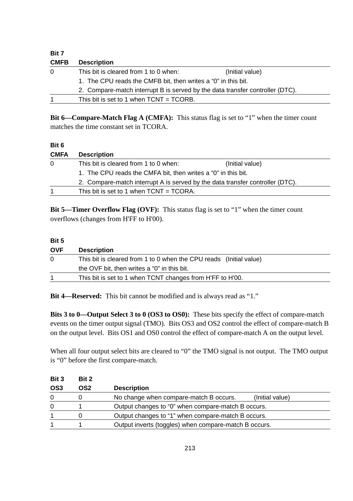| Bit 7       |                                                                               |                 |  |  |  |  |
|-------------|-------------------------------------------------------------------------------|-----------------|--|--|--|--|
| <b>CMFB</b> | <b>Description</b>                                                            |                 |  |  |  |  |
| 0           | This bit is cleared from 1 to 0 when:                                         | (Initial value) |  |  |  |  |
|             | 1. The CPU reads the CMFB bit, then writes a "0" in this bit.                 |                 |  |  |  |  |
|             | 2. Compare-match interrupt B is served by the data transfer controller (DTC). |                 |  |  |  |  |
|             | This bit is set to 1 when $TCNT = TCORB$ .                                    |                 |  |  |  |  |
|             |                                                                               |                 |  |  |  |  |

**Bit 6—Compare-Match Flag A (CMFA):** This status flag is set to "1" when the timer count matches the time constant set in TCORA.

## **Bit 6 CMFA Description** 0 This bit is cleared from 1 to 0 when: (Initial value) 1. The CPU reads the CMFA bit, then writes a "0" in this bit. 2. Compare-match interrupt A is served by the data transfer controller (DTC). 1 This bit is set to 1 when TCNT = TCORA.

**Bit 5—Timer Overflow Flag (OVF):** This status flag is set to "1" when the timer count overflows (changes from H'FF to H'00).

### **Bit 5**

| <b>OVF</b> | <b>Description</b>                                                 |
|------------|--------------------------------------------------------------------|
| $\Omega$   | This bit is cleared from 1 to 0 when the CPU reads (Initial value) |
|            | the OVF bit, then writes a "0" in this bit.                        |
|            | This bit is set to 1 when TCNT changes from H'FF to H'00.          |

**Bit 4—Reserved:** This bit cannot be modified and is always read as "1."

**Bits 3 to 0—Output Select 3 to 0 (OS3 to OS0):** These bits specify the effect of compare-match events on the timer output signal (TMO). Bits OS3 and OS2 control the effect of compare-match B on the output level. Bits OS1 and OS0 control the effect of compare-match A on the output level.

When all four output select bits are cleared to "0" the TMO signal is not output. The TMO output is "0" before the first compare-match.

| Bit 3           | Bit 2 |                                                           |  |
|-----------------|-------|-----------------------------------------------------------|--|
| OS <sub>3</sub> | OS2   | <b>Description</b>                                        |  |
| 0               |       | No change when compare-match B occurs.<br>(Initial value) |  |
| $\Omega$        |       | Output changes to "0" when compare-match B occurs.        |  |
|                 |       | Output changes to "1" when compare-match B occurs.        |  |
|                 |       | Output inverts (toggles) when compare-match B occurs.     |  |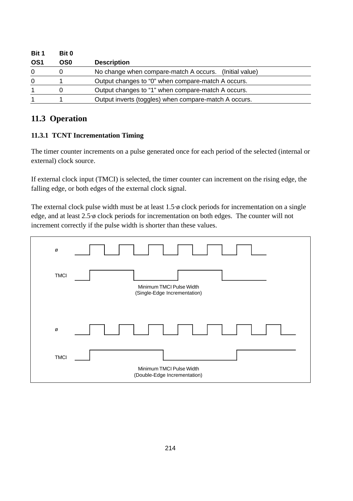| Bit 1           | Bit 0 | <b>Description</b>                                     |  |  |
|-----------------|-------|--------------------------------------------------------|--|--|
| OS <sub>1</sub> | OS0   |                                                        |  |  |
| 0               |       | No change when compare-match A occurs. (Initial value) |  |  |
| 0               |       | Output changes to "0" when compare-match A occurs.     |  |  |
|                 |       | Output changes to "1" when compare-match A occurs.     |  |  |
|                 |       | Output inverts (toggles) when compare-match A occurs.  |  |  |

# **11.3 Operation**

## **11.3.1 TCNT Incrementation Timing**

The timer counter increments on a pulse generated once for each period of the selected (internal or external) clock source.

If external clock input (TMCI) is selected, the timer counter can increment on the rising edge, the falling edge, or both edges of the external clock signal.

The external clock pulse width must be at least 1.5·ø clock periods for incrementation on a single edge, and at least 2.5·ø clock periods for incrementation on both edges. The counter will not increment correctly if the pulse width is shorter than these values.

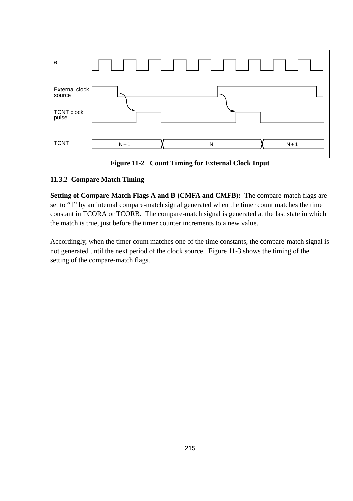

**Figure 11-2 Count Timing for External Clock Input**

## **11.3.2 Compare Match Timing**

**Setting of Compare-Match Flags A and B (CMFA and CMFB):** The compare-match flags are set to "1" by an internal compare-match signal generated when the timer count matches the time constant in TCORA or TCORB. The compare-match signal is generated at the last state in which the match is true, just before the timer counter increments to a new value.

Accordingly, when the timer count matches one of the time constants, the compare-match signal is not generated until the next period of the clock source. Figure 11-3 shows the timing of the setting of the compare-match flags.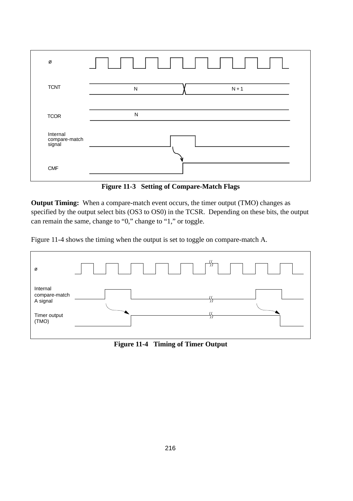

**Figure 11-3 Setting of Compare-Match Flags**

**Output Timing:** When a compare-match event occurs, the timer output (TMO) changes as specified by the output select bits (OS3 to OS0) in the TCSR. Depending on these bits, the output can remain the same, change to "0," change to "1," or toggle.

Figure 11-4 shows the timing when the output is set to toggle on compare-match A.



**Figure 11-4 Timing of Timer Output**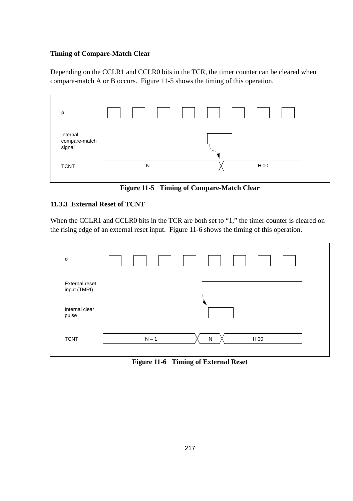## **Timing of Compare-Match Clear**

Depending on the CCLR1 and CCLR0 bits in the TCR, the timer counter can be cleared when compare-match A or B occurs. Figure 11-5 shows the timing of this operation.



**Figure 11-5 Timing of Compare-Match Clear**

## **11.3.3 External Reset of TCNT**

When the CCLR1 and CCLR0 bits in the TCR are both set to "1," the timer counter is cleared on the rising edge of an external reset input. Figure 11-6 shows the timing of this operation.



**Figure 11-6 Timing of External Reset**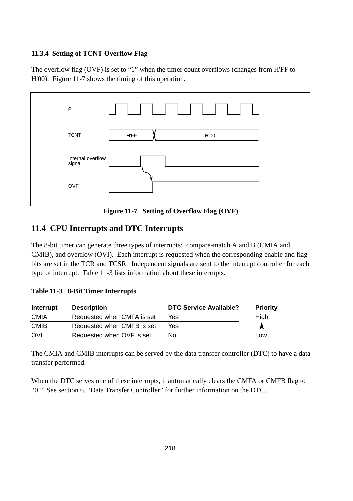#### **11.3.4 Setting of TCNT Overflow Flag**

The overflow flag (OVF) is set to "1" when the timer count overflows (changes from H'FF to H'00). Figure 11-7 shows the timing of this operation.



**Figure 11-7 Setting of Overflow Flag (OVF)**

## **11.4 CPU Interrupts and DTC Interrupts**

The 8-bit timer can generate three types of interrupts: compare-match A and B (CMIA and CMIB), and overflow (OVI). Each interrupt is requested when the corresponding enable and flag bits are set in the TCR and TCSR. Independent signals are sent to the interrupt controller for each type of interrupt. Table 11-3 lists information about these interrupts.

## **Table 11-3 8-Bit Timer Interrupts**

| Interrupt   | <b>Description</b>         | <b>DTC Service Available?</b> | <b>Priority</b> |
|-------------|----------------------------|-------------------------------|-----------------|
| <b>CMIA</b> | Requested when CMFA is set | Yes                           | High            |
| <b>CMIB</b> | Requested when CMFB is set | Yes                           |                 |
| OVI         | Requested when OVF is set  | Nο                            | _OW             |

The CMIA and CMIB interrupts can be served by the data transfer controller (DTC) to have a data transfer performed.

When the DTC serves one of these interrupts, it automatically clears the CMFA or CMFB flag to "0." See section 6, "Data Transfer Controller" for further information on the DTC.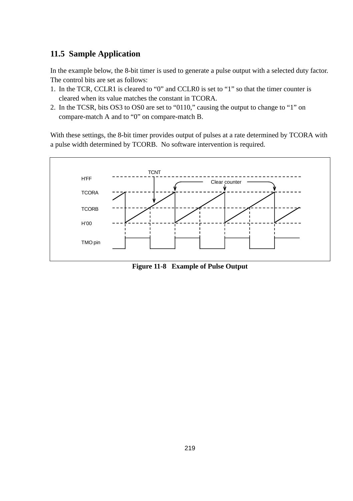# **11.5 Sample Application**

In the example below, the 8-bit timer is used to generate a pulse output with a selected duty factor. The control bits are set as follows:

- 1. In the TCR, CCLR1 is cleared to "0" and CCLR0 is set to "1" so that the timer counter is cleared when its value matches the constant in TCORA.
- 2. In the TCSR, bits OS3 to OS0 are set to "0110," causing the output to change to "1" on compare-match A and to "0" on compare-match B.

With these settings, the 8-bit timer provides output of pulses at a rate determined by TCORA with a pulse width determined by TCORB. No software intervention is required.



**Figure 11-8 Example of Pulse Output**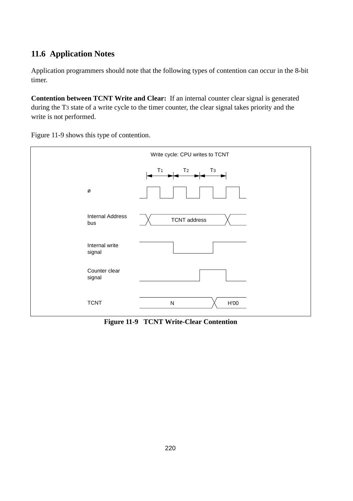# **11.6 Application Notes**

Application programmers should note that the following types of contention can occur in the 8-bit timer.

**Contention between TCNT Write and Clear:** If an internal counter clear signal is generated during the T3 state of a write cycle to the timer counter, the clear signal takes priority and the write is not performed.

Figure 11-9 shows this type of contention.



**Figure 11-9 TCNT Write-Clear Contention**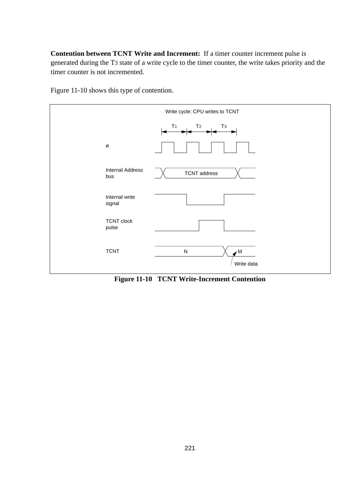**Contention between TCNT Write and Increment:** If a timer counter increment pulse is generated during the T3 state of a write cycle to the timer counter, the write takes priority and the timer counter is not incremented.

Figure 11-10 shows this type of contention.



**Figure 11-10 TCNT Write-Increment Contention**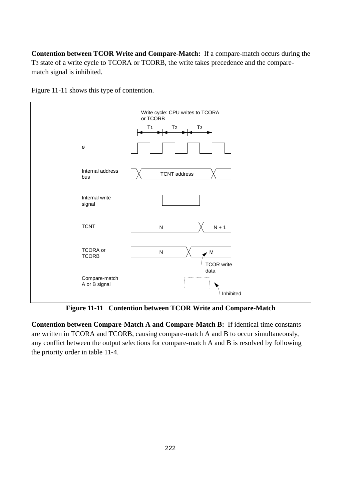**Contention between TCOR Write and Compare-Match:** If a compare-match occurs during the T3 state of a write cycle to TCORA or TCORB, the write takes precedence and the comparematch signal is inhibited.





**Figure 11-11 Contention between TCOR Write and Compare-Match**

**Contention between Compare-Match A and Compare-Match B:** If identical time constants are written in TCORA and TCORB, causing compare-match A and B to occur simultaneously, any conflict between the output selections for compare-match A and B is resolved by following the priority order in table 11-4.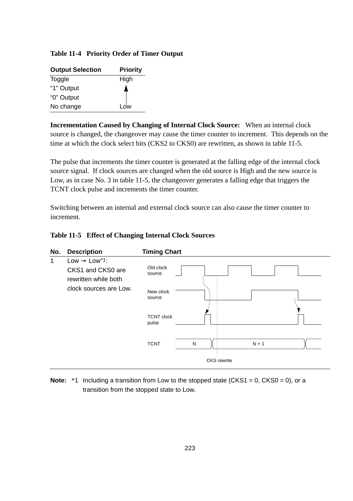## **Table 11-4 Priority Order of Timer Output**

| <b>Output Selection</b> | <b>Priority</b> |  |  |
|-------------------------|-----------------|--|--|
| Toggle                  | High            |  |  |
| "1" Output              |                 |  |  |
| "0" Output              |                 |  |  |
| No change               | Low             |  |  |

**Incrementation Caused by Changing of Internal Clock Source:** When an internal clock source is changed, the changeover may cause the timer counter to increment. This depends on the time at which the clock select bits (CKS2 to CKS0) are rewritten, as shown in table 11-5.

The pulse that increments the timer counter is generated at the falling edge of the internal clock source signal. If clock sources are changed when the old source is High and the new source is Low, as in case No. 3 in table 11-5, the changeover generates a falling edge that triggers the TCNT clock pulse and increments the timer counter.

Switching between an internal and external clock source can also cause the timer counter to increment.

| Table 11-5 Effect of Changing Internal Clock Sources |  |  |  |  |  |
|------------------------------------------------------|--|--|--|--|--|
|------------------------------------------------------|--|--|--|--|--|



**Note:** \*1 Including a transition from Low to the stopped state (CKS1 = 0, CKS0 = 0), or a transition from the stopped state to Low.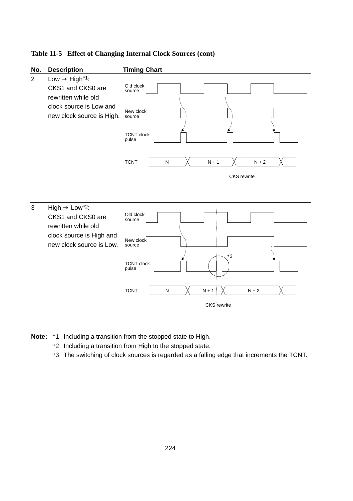## **Table 11-5 Effect of Changing Internal Clock Sources (cont)**



- **Note:** \*1 Including a transition from the stopped state to High.
	- \*2 Including a transition from High to the stopped state.
	- \*3 The switching of clock sources is regarded as a falling edge that increments the TCNT.